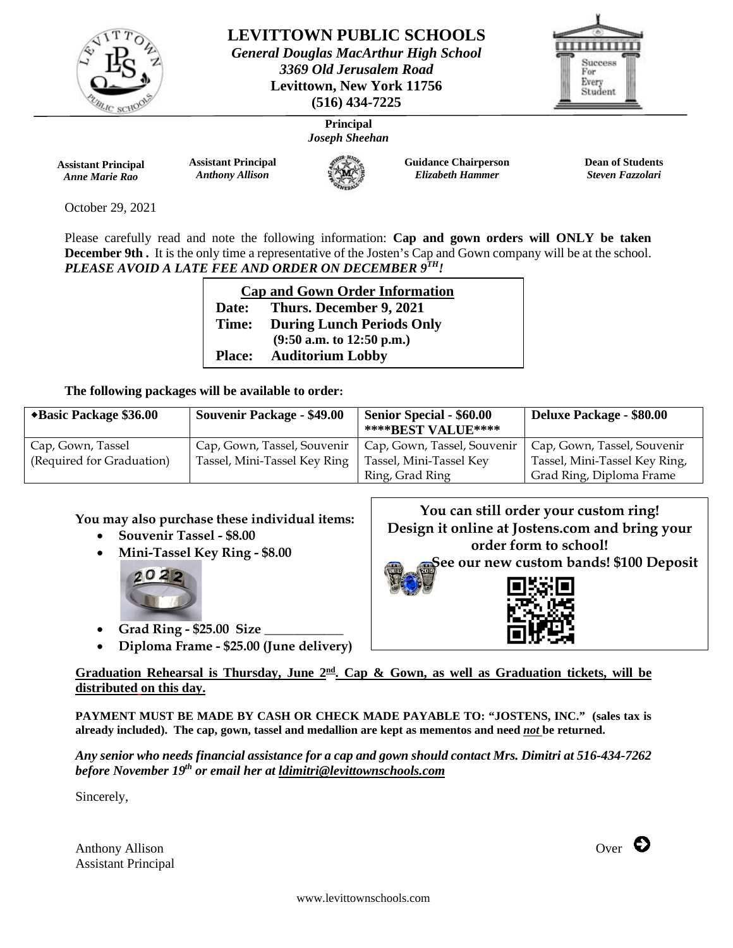

**LEVITTOWN PUBLIC SCHOOLS** *General Douglas MacArthur High School*

*3369 Old Jerusalem Road*  **Levittown, New York 11756 (516) 434-7225**



**Principal** *Joseph Sheehan*

**Assistant Principal** *Anne Marie Rao*

**Assistant Principal** *Anthony Allison* 



**Guidance Chairperson** *Elizabeth Hammer* 

**Dean of Students** *Steven Fazzolari* 

October 29, 2021

Please carefully read and note the following information: **Cap and gown orders will ONLY be taken December 9th.** It is the only time a representative of the Josten's Cap and Gown company will be at the school. *PLEASE AVOID A LATE FEE AND ORDER ON DECEMBER 9TH!*

| <b>Cap and Gown Order Information</b> |                                  |  |  |
|---------------------------------------|----------------------------------|--|--|
| Date:                                 | Thurs. December 9, 2021          |  |  |
| Time:                                 | <b>During Lunch Periods Only</b> |  |  |
|                                       | $(9:50$ a.m. to 12:50 p.m.)      |  |  |
| <b>Place:</b>                         | <b>Auditorium Lobby</b>          |  |  |

# **The following packages will be available to order:**

| *Basic Package \$36.00    | <b>Souvenir Package - \$49.00</b> | <b>Senior Special - \$60.00</b> | <b>Deluxe Package - \$80.00</b> |
|---------------------------|-----------------------------------|---------------------------------|---------------------------------|
|                           |                                   | **** BEST VALUE****             |                                 |
| Cap, Gown, Tassel         | Cap, Gown, Tassel, Souvenir       | Cap, Gown, Tassel, Souvenir     | Cap, Gown, Tassel, Souvenir     |
| (Required for Graduation) | Tassel, Mini-Tassel Key Ring      | Tassel, Mini-Tassel Key         | Tassel, Mini-Tassel Key Ring,   |
|                           |                                   | Ring, Grad Ring                 | Grad Ring, Diploma Frame        |

# **You may also purchase these individual items:**

- **Souvenir Tassel - \$8.00**
- **Mini-Tassel Key Ring - \$8.00**



- **Grad Ring - \$25.00 Size \_\_\_\_\_\_\_\_\_\_\_\_**
- **Diploma Frame - \$25.00 (June delivery)**

**You can still order your custom ring! Design it online at Jostens.com and bring your order form to school! See our new custom bands! \$100 Deposit**



**Graduation Rehearsal is Thursday, June 2nd. Cap & Gown, as well as Graduation tickets, will be distributed on this day.**

**PAYMENT MUST BE MADE BY CASH OR CHECK MADE PAYABLE TO: "JOSTENS, INC." (sales tax is already included). The cap, gown, tassel and medallion are kept as mementos and need** *not* **be returned.**

*Any senior who needs financial assistance for a cap and gown should contact Mrs. Dimitri at 516-434-7262 before November 19th or email her at ldimitri@levittownschools.com*

Sincerely,

Anthony Allison  $_{\text{Over}}$ Assistant Principal